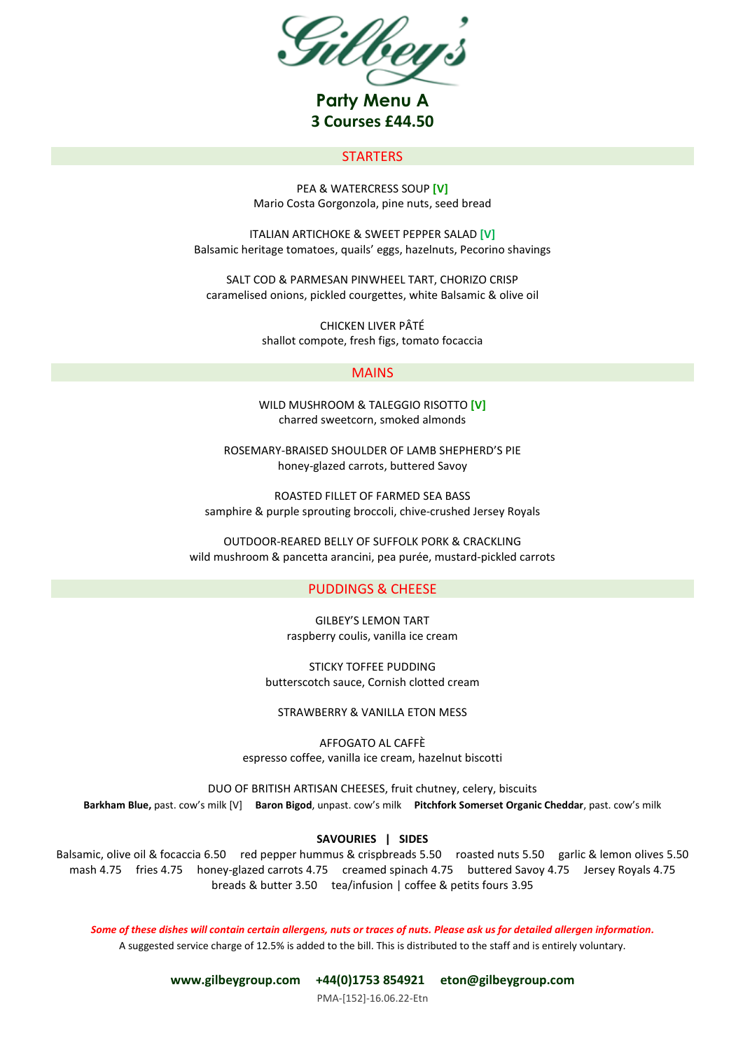

# **STARTERS**

PEA & WATERCRESS SOUP **[V]** Mario Costa Gorgonzola, pine nuts, seed bread

ITALIAN ARTICHOKE & SWEET PEPPER SALAD **[V]** Balsamic heritage tomatoes, quails' eggs, hazelnuts, Pecorino shavings

SALT COD & PARMESAN PINWHEEL TART, CHORIZO CRISP caramelised onions, pickled courgettes, white Balsamic & olive oil

> CHICKEN LIVER PÂTÉ shallot compote, fresh figs, tomato focaccia

## MAINS

WILD MUSHROOM & TALEGGIO RISOTTO **[V]** charred sweetcorn, smoked almonds

ROSEMARY-BRAISED SHOULDER OF LAMB SHEPHERD'S PIE honey-glazed carrots, buttered Savoy

ROASTED FILLET OF FARMED SEA BASS samphire & purple sprouting broccoli, chive-crushed Jersey Royals

OUTDOOR-REARED BELLY OF SUFFOLK PORK & CRACKLING wild mushroom & pancetta arancini, pea purée, mustard-pickled carrots

# PUDDINGS & CHEESE

GILBEY'S LEMON TART raspberry coulis, vanilla ice cream

STICKY TOFFEE PUDDING butterscotch sauce, Cornish clotted cream

STRAWBERRY & VANILLA ETON MESS

AFFOGATO AL CAFFÈ espresso coffee, vanilla ice cream, hazelnut biscotti

DUO OF BRITISH ARTISAN CHEESES, fruit chutney, celery, biscuits **Barkham Blue,** past. cow's milk [V] **Baron Bigod**, unpast. cow's milk **Pitchfork Somerset Organic Cheddar**, past. cow's milk

#### **SAVOURIES | SIDES**

Balsamic, olive oil & focaccia 6.50 red pepper hummus & crispbreads 5.50 roasted nuts 5.50 garlic & lemon olives 5.50 mash 4.75 fries 4.75 honey-glazed carrots 4.75 creamed spinach 4.75 buttered Savoy 4.75 Jersey Royals 4.75 breads & butter 3.50 tea/infusion | coffee & petits fours 3.95

*Some of these dishes will contain certain allergens, nuts or traces of nuts. Please ask us for detailed allergen information.* A suggested service charge of 12.5% is added to the bill. This is distributed to the staff and is entirely voluntary.

**[www.gilbeygroup.com](http://www.gilbeygroup.com/) +44(0)1753 854921 [eton@gilbeygroup.com](mailto:eton@gilbeygroup.com)**

PMA-[152]-16.06.22-Etn